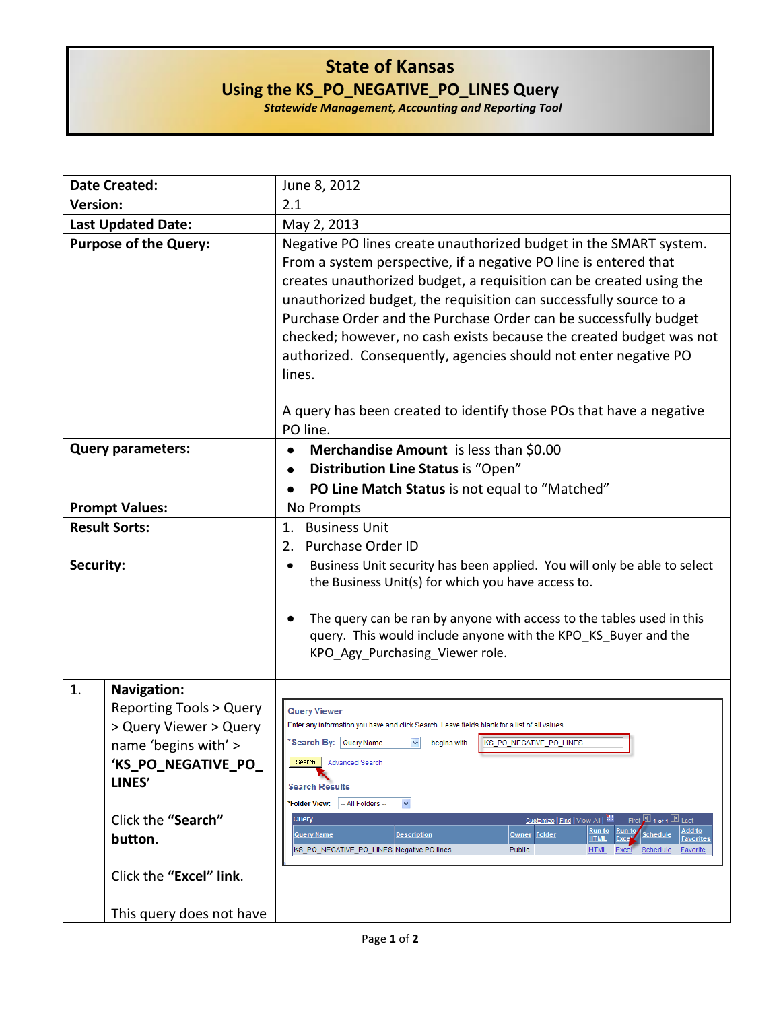## **State of Kansas Using the KS\_PO\_NEGATIVE\_PO\_LINES Query**

*Statewide Management, Accounting and Reporting Tool*

| <b>Date Created:</b>         |                                                                                                                                                                                                                                    | June 8, 2012                                                                                                                                                                                                                                                                                                                                                                                                                                                                                                                                                                                                                             |
|------------------------------|------------------------------------------------------------------------------------------------------------------------------------------------------------------------------------------------------------------------------------|------------------------------------------------------------------------------------------------------------------------------------------------------------------------------------------------------------------------------------------------------------------------------------------------------------------------------------------------------------------------------------------------------------------------------------------------------------------------------------------------------------------------------------------------------------------------------------------------------------------------------------------|
| <b>Version:</b>              |                                                                                                                                                                                                                                    | 2.1                                                                                                                                                                                                                                                                                                                                                                                                                                                                                                                                                                                                                                      |
| <b>Last Updated Date:</b>    |                                                                                                                                                                                                                                    | May 2, 2013                                                                                                                                                                                                                                                                                                                                                                                                                                                                                                                                                                                                                              |
| <b>Purpose of the Query:</b> |                                                                                                                                                                                                                                    | Negative PO lines create unauthorized budget in the SMART system.<br>From a system perspective, if a negative PO line is entered that<br>creates unauthorized budget, a requisition can be created using the<br>unauthorized budget, the requisition can successfully source to a<br>Purchase Order and the Purchase Order can be successfully budget<br>checked; however, no cash exists because the created budget was not<br>authorized. Consequently, agencies should not enter negative PO<br>lines.                                                                                                                                |
|                              |                                                                                                                                                                                                                                    | A query has been created to identify those POs that have a negative<br>PO line.                                                                                                                                                                                                                                                                                                                                                                                                                                                                                                                                                          |
| <b>Query parameters:</b>     |                                                                                                                                                                                                                                    | Merchandise Amount is less than \$0.00<br>٠                                                                                                                                                                                                                                                                                                                                                                                                                                                                                                                                                                                              |
|                              |                                                                                                                                                                                                                                    | Distribution Line Status is "Open"<br>$\bullet$                                                                                                                                                                                                                                                                                                                                                                                                                                                                                                                                                                                          |
|                              |                                                                                                                                                                                                                                    | PO Line Match Status is not equal to "Matched"<br>$\bullet$                                                                                                                                                                                                                                                                                                                                                                                                                                                                                                                                                                              |
| <b>Prompt Values:</b>        |                                                                                                                                                                                                                                    | No Prompts                                                                                                                                                                                                                                                                                                                                                                                                                                                                                                                                                                                                                               |
| <b>Result Sorts:</b>         |                                                                                                                                                                                                                                    | <b>Business Unit</b><br>1.<br><b>Purchase Order ID</b><br>2.                                                                                                                                                                                                                                                                                                                                                                                                                                                                                                                                                                             |
| Security:                    |                                                                                                                                                                                                                                    | Business Unit security has been applied. You will only be able to select<br>٠<br>the Business Unit(s) for which you have access to.<br>The query can be ran by anyone with access to the tables used in this<br>query. This would include anyone with the KPO_KS_Buyer and the<br>KPO_Agy_Purchasing_Viewer role.                                                                                                                                                                                                                                                                                                                        |
| 1.                           | <b>Navigation:</b><br><b>Reporting Tools &gt; Query</b><br>> Query Viewer > Query<br>name 'begins with' ><br>'KS_PO_NEGATIVE_PO_<br>LINES'<br>Click the "Search"<br>button.<br>Click the "Excel" link.<br>This query does not have | <b>Query Viewer</b><br>Enter any information you have and click Search. Leave fields blank for a list of all values.<br>*Search By: Query Name v begins with KS_PO_NEGATIVE_PO_LINES<br>Search  <br><b>Advanced Search</b><br><b>Search Results</b><br>-- All Folders --<br>*Folder View:<br>×<br>Customize   Find   View All   THE<br>Query<br>First 1 1 of 1 Last<br>Add to<br>Run to<br><u>Run to</u><br><b>Query Name</b><br><b>Description</b><br>Owner Folder<br>Schedule<br><b>HTML</b><br>Exce<br><b>Favorites</b><br>KS PO NEGATIVE PO LINES Negative PO lines<br><b>HTML</b><br>Excel<br>Public<br>Schedule<br><b>Favorite</b> |